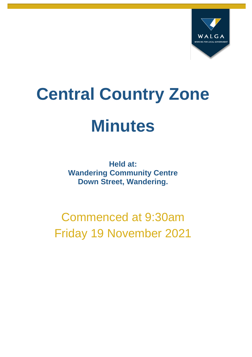

# **Central Country Zone Minutes**

**Held at: Wandering Community Centre Down Street, Wandering.**

Commenced at 9:30am Friday 19 November 2021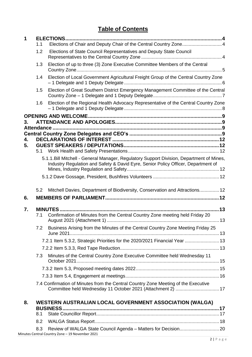### **Table of Contents**

| 1  | 1.1 | Elections of Chair and Deputy Chair of the Central Country Zone 4                                                                                 |  |
|----|-----|---------------------------------------------------------------------------------------------------------------------------------------------------|--|
|    | 1.2 | Elections of State Council Representatives and Deputy State Council                                                                               |  |
|    | 1.3 | Election of up to three (3) Zone Executive Committee Members of the Central                                                                       |  |
|    | 1.4 | Election of Local Government Agricultural Freight Group of the Central Country Zone                                                               |  |
|    | 1.5 | Election of Great Southern District Emergency Management Committee of the Central                                                                 |  |
|    | 1.6 | Election of the Regional Health Advocacy Representative of the Central Country Zone                                                               |  |
|    |     |                                                                                                                                                   |  |
| 3. |     |                                                                                                                                                   |  |
|    |     |                                                                                                                                                   |  |
| 4. |     |                                                                                                                                                   |  |
| 5. |     |                                                                                                                                                   |  |
|    |     |                                                                                                                                                   |  |
|    |     | 5.1.1. Bill Mitchell - General Manager, Regulatory Support Division, Department of Mines,                                                         |  |
|    |     | Industry Regulation and Safety & David Eyre, Senior Policy Officer, Department of                                                                 |  |
|    |     |                                                                                                                                                   |  |
|    |     |                                                                                                                                                   |  |
|    | 5.2 | Mitchell Davies, Department of Biodiversity, Conservation and Attractions 12                                                                      |  |
| 6. |     |                                                                                                                                                   |  |
| 7. |     | <b>MINUTES</b>                                                                                                                                    |  |
|    | 7.1 | Confirmation of Minutes from the Central Country Zone meeting held Friday 20                                                                      |  |
|    | 7.2 | Business Arising from the Minutes of the Central Country Zone Meeting Friday 25                                                                   |  |
|    |     | 7.2.1 Item 5.3.2, Strategic Priorities for the 2020/2021 Financial Year  13                                                                       |  |
|    |     |                                                                                                                                                   |  |
|    | 7.3 | Minutes of the Central Country Zone Executive Committee held Wednesday 11                                                                         |  |
|    |     |                                                                                                                                                   |  |
|    |     |                                                                                                                                                   |  |
|    |     | 7.4 Confirmation of Minutes from the Central Country Zone Meeting of the Executive<br>Committee held Wednesday 11 October 2021 (Attachment 2)  17 |  |
| 8. |     | WESTERN AUSTRALIAN LOCAL GOVERNMENT ASSOCIATION (WALGA)                                                                                           |  |
|    | 8.1 | <b>BUSINESS</b>                                                                                                                                   |  |
|    | 8.2 |                                                                                                                                                   |  |
|    | 8.3 |                                                                                                                                                   |  |
|    |     | Minutes Central Country Zone - 19 November 2021                                                                                                   |  |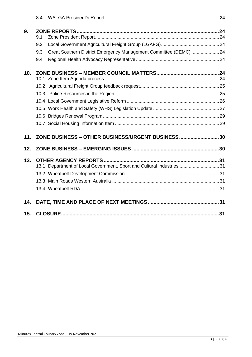|     | 8.4 |                                                                       |  |
|-----|-----|-----------------------------------------------------------------------|--|
| 9.  | 9.1 |                                                                       |  |
|     | 9.2 |                                                                       |  |
|     | 9.3 | Great Southern District Emergency Management Committee (DEMC)  24     |  |
|     | 9.4 |                                                                       |  |
| 10. |     |                                                                       |  |
|     |     |                                                                       |  |
|     |     |                                                                       |  |
|     |     |                                                                       |  |
|     |     |                                                                       |  |
|     |     |                                                                       |  |
|     |     |                                                                       |  |
|     |     |                                                                       |  |
| 11. |     | ZONE BUSINESS - OTHER BUSINESS/URGENT BUSINESS30                      |  |
| 12. |     |                                                                       |  |
| 13. |     |                                                                       |  |
|     |     | 13.1 Department of Local Government, Sport and Cultural Industries 31 |  |
|     |     |                                                                       |  |
|     |     |                                                                       |  |
|     |     |                                                                       |  |
| 14. |     |                                                                       |  |
| 15. |     |                                                                       |  |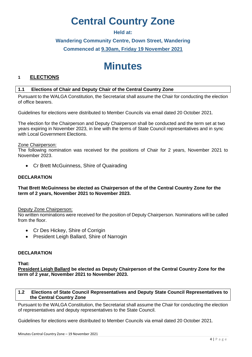# **Central Country Zone**

### **Held at:**

### **Wandering Community Centre, Down Street, Wandering Commenced at 9.30am, Friday 19 November 2021**

## **Minutes**

### **1 ELECTIONS**

### **1.1 Elections of Chair and Deputy Chair of the Central Country Zone**

Pursuant to the WALGA Constitution, the Secretariat shall assume the Chair for conducting the election of office bearers.

Guidelines for elections were distributed to Member Councils via email dated 20 October 2021.

The election for the Chairperson and Deputy Chairperson shall be conducted and the term set at two years expiring in November 2023, in line with the terms of State Council representatives and in sync with Local Government Elections.

### Zone Chairperson:

The following nomination was received for the positions of Chair for 2 years, November 2021 to November 2023.

• Cr Brett McGuinness, Shire of Quairading

### **DECLARATION**

### **That Brett McGuinness be elected as Chairperson of the of the Central Country Zone for the term of 2 years, November 2021 to November 2023.**

### Deputy Zone Chairperson:

No written nominations were received for the position of Deputy Chairperson. Nominations will be called from the floor.

- Cr Des Hickey, Shire of Corrigin
- President Leigh Ballard, Shire of Narrogin

### **DECLARATION**

**That:**

**President Leigh Ballard be elected as Deputy Chairperson of the Central Country Zone for the term of 2 year, November 2021 to November 2023.**

### **1.2 Elections of State Council Representatives and Deputy State Council Representatives to the Central Country Zone**

Pursuant to the WALGA Constitution, the Secretariat shall assume the Chair for conducting the election of representatives and deputy representatives to the State Council.

Guidelines for elections were distributed to Member Councils via email dated 20 October 2021.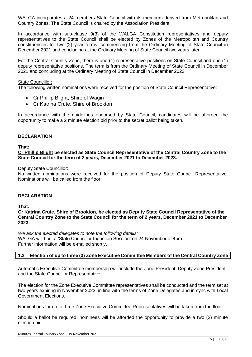WALGA incorporates a 24 members State Council with its members derived from Metropolitan and Country Zones. The State Council is chaired by the Association President.

In accordance with sub-clause 9(3) of the WALGA Constitution representatives and deputy representatives to the State Council shall be elected by Zones of the Metropolitan and Country constituencies for two (2) year terms, commencing from the Ordinary Meeting of State Council in December 2021 and concluding at the Ordinary Meeting of State Council two years later.

For the Central Country Zone, there is one (1) representative positions on State Council and one (1) deputy representative positions. The term is from the Ordinary Meeting of State Council in December 2021 and concluding at the Ordinary Meeting of State Council in December 2023.

### State Councillor:

The following written nominations were received for the position of State Council Representative:

- Cr Phillip Blight, Shire of Wagin
- Cr Katrina Crute, Shire of Brookton

In accordance with the guidelines endorsed by State Council, candidates will be afforded the opportunity to make a 2 minute election bid prior to the secret ballot being taken.

### **DECLARATION**

### **That:**

**Cr Phillip Blight be elected as State Council Representative of the Central Country Zone to the State Council for the term of 2 years, December 2021 to December 2023.**

### Deputy State Councillor:

No written nominations were received for the position of Deputy State Council Representative. Nominations will be called from the floor.

### **DECLARATION**

**That:**

**Cr Katrina Crute, Shire of Brookton, be elected as Deputy State Council Representative of the Central Country Zone to the State Council for the term of 2 years, December 2021 to December 2023.**

*We ask the elected delegates to note the following details:*

WALGA will host a 'State Councillor Induction Session' on 24 November at 4pm. Further information will be e-mailed shortly.

### **1.3 Election of up to three (3) Zone Executive Committee Members of the Central Country Zone**

Automatic Executive Committee membership will include the Zone President, Deputy Zone President and the State Councillor Representative.

The election for the Zone Executive Committee representatives shall be conducted and the term set at two years expiring in November 2023, in line with the terms of Zone Delegates and in sync with Local Government Elections.

Nominations for up to three Zone Executive Committee Representatives will be taken from the floor.

Should a ballot be required, nominees will be afforded the opportunity to provide a two (2) minute election bid.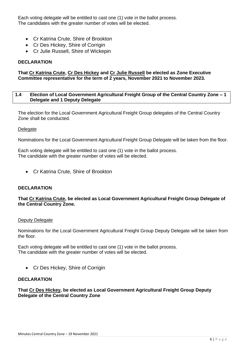Each voting delegate will be entitled to cast one (1) vote in the ballot process. The candidates with the greater number of votes will be elected.

- Cr Katrina Crute, Shire of Brookton
- Cr Des Hickey, Shire of Corrigin
- Cr Julie Russell, Shire of Wickepin

### **DECLARATION**

### **That Cr Katrina Crute, Cr Des Hickey and Cr Julie Russell be elected as Zone Executive Committee representative for the term of 2 years, November 2021 to November 2023.**

### **1.4 Election of Local Government Agricultural Freight Group of the Central Country Zone – 1 Delegate and 1 Deputy Delegate**

The election for the Local Government Agricultural Freight Group delegates of the Central Country Zone shall be conducted.

### **Delegate**

Nominations for the Local Government Agricultural Freight Group Delegate will be taken from the floor.

Each voting delegate will be entitled to cast one (1) vote in the ballot process. The candidate with the greater number of votes will be elected.

• Cr Katrina Crute, Shire of Brookton

### **DECLARATION**

### **That Cr Katrina Crute, be elected as Local Government Agricultural Freight Group Delegate of the Central Country Zone.**

### Deputy Delegate

Nominations for the Local Government Agricultural Freight Group Deputy Delegate will be taken from the floor.

Each voting delegate will be entitled to cast one (1) vote in the ballot process. The candidate with the greater number of votes will be elected.

• Cr Des Hickey, Shire of Corrigin

### **DECLARATION**

### **That Cr Des Hickey, be elected as Local Government Agricultural Freight Group Deputy Delegate of the Central Country Zone**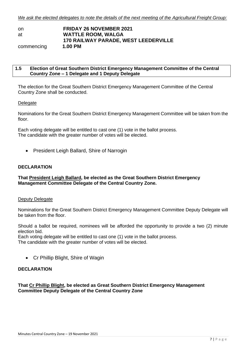| on         | <b>FRIDAY 26 NOVEMBER 2021</b>              |
|------------|---------------------------------------------|
| at         | <b>WATTLE ROOM, WALGA</b>                   |
|            | <b>170 RAILWAY PARADE, WEST LEEDERVILLE</b> |
| commencing | 1.00 PM                                     |

### **1.5 Election of Great Southern District Emergency Management Committee of the Central Country Zone – 1 Delegate and 1 Deputy Delegate**

The election for the Great Southern District Emergency Management Committee of the Central Country Zone shall be conducted.

### **Delegate**

Nominations for the Great Southern District Emergency Management Committee will be taken from the floor.

Each voting delegate will be entitled to cast one (1) vote in the ballot process. The candidate with the greater number of votes will be elected.

• President Leigh Ballard, Shire of Narrogin

### **DECLARATION**

### **That President Leigh Ballard, be elected as the Great Southern District Emergency Management Committee Delegate of the Central Country Zone.**

### Deputy Delegate

Nominations for the Great Southern District Emergency Management Committee Deputy Delegate will be taken from the floor.

Should a ballot be required, nominees will be afforded the opportunity to provide a two (2) minute election bid.

Each voting delegate will be entitled to cast one (1) vote in the ballot process.

The candidate with the greater number of votes will be elected.

• Cr Phillip Blight, Shire of Wagin

### **DECLARATION**

### **That Cr Phillip Blight, be elected as Great Southern District Emergency Management Committee Deputy Delegate of the Central Country Zone**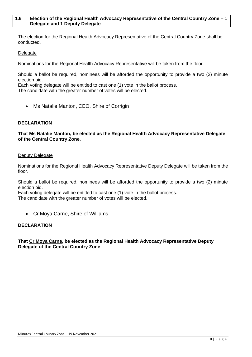### **1.6 Election of the Regional Health Advocacy Representative of the Central Country Zone – 1 Delegate and 1 Deputy Delegate**

The election for the Regional Health Advocacy Representative of the Central Country Zone shall be conducted.

### Delegate

Nominations for the Regional Health Advocacy Representative will be taken from the floor.

Should a ballot be required, nominees will be afforded the opportunity to provide a two (2) minute election bid.

Each voting delegate will be entitled to cast one (1) vote in the ballot process.

The candidate with the greater number of votes will be elected.

• Ms Natalie Manton, CEO, Shire of Corrigin

### **DECLARATION**

**That Ms Natalie Manton, be elected as the Regional Health Advocacy Representative Delegate of the Central Country Zone.**

### Deputy Delegate

Nominations for the Regional Health Advocacy Representative Deputy Delegate will be taken from the floor.

Should a ballot be required, nominees will be afforded the opportunity to provide a two (2) minute election bid.

Each voting delegate will be entitled to cast one (1) vote in the ballot process. The candidate with the greater number of votes will be elected.

• Cr Moya Carne, Shire of Williams

### **DECLARATION**

### **That Cr Moya Carne, be elected as the Regional Health Advocacy Representative Deputy Delegate of the Central Country Zone**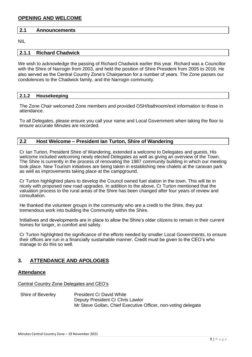### **2.1 Announcements**

NIL

### **2.1.1 Richard Chadwick**

We wish to acknowledge the passing of Richard Chadwick earlier this year. Richard was a Councillor with the Shire of Narrogin from 2003, and held the position of Shire President from 2005 to 2016. He also served as the Central Country Zone's Chairperson for a number of years. The Zone passes our condolences to the Chadwick family, and the Narrogin community.

### **2.1.2 Housekeeping**

The Zone Chair welcomed Zone members and provided OSH/bathroom/exit information to those in attendance.

To all Delegates, please ensure you call your name and Local Government when taking the floor to ensure accurate Minutes are recorded.

### **2.2 Host Welcome – President Ian Turton, Shire of Wandering**

Cr Ian Turton, President Shire of Wandering, extended a welcome to Delegates and guests. His welcome included welcoming newly elected Delegates as well as giving an overview of the Town. The Shire is currently in the process of renovating the 1987 community building in which our meeting took place. New Tourism initiatives are being taken in establishing new chalets at the caravan park as well as improvements taking place at the campground.

Cr Turton highlighted plans to develop the Council owned fuel station in the town. This will tie in nicely with proposed new road upgrades. In addition to the above, Cr Turton mentioned that the valuation process to the rural areas of the Shire has been changed after four years of review and consultation.

He thanked the volunteer groups in the community who are a credit to the Shire, they put tremendous work into building the Community within the Shire.

Initiatives and developments are in place to allow the Shire's older citizens to remain in their current homes for longer, in comfort and safety.

Cr Turton highlighted the significance of the efforts needed by smaller Local Governments, to ensure their offices are run in a financially sustainable manner. Credit must be given to the CEO's who manage to do this so well.

### **3. ATTENDANCE AND APOLOGIES**

### **Attendance**

Central Country Zone Delegates and CEO's

Shire of Beverley President Cr David White Deputy President Cr Chris Lawlor Mr Steve Gollan, Chief Executive Officer, non-voting delegate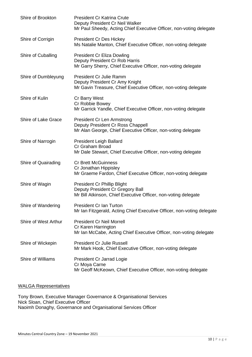| Shire of Brookton          | <b>President Cr Katrina Crute</b><br>Deputy President Cr Neil Walker<br>Mr Paul Sheedy, Acting Chief Executive Officer, non-voting delegate |
|----------------------------|---------------------------------------------------------------------------------------------------------------------------------------------|
| Shire of Corrigin          | <b>President Cr Des Hickey</b><br>Ms Natalie Manton, Chief Executive Officer, non-voting delegate                                           |
| Shire of Cuballing         | <b>President Cr Eliza Dowling</b><br>Deputy President Cr Rob Harris<br>Mr Garry Sherry, Chief Executive Officer, non-voting delegate        |
| Shire of Dumbleyung        | President Cr Julie Ramm<br>Deputy President Cr Amy Knight<br>Mr Gavin Treasure, Chief Executive Officer, non-voting delegate                |
| Shire of Kulin             | Cr Barry West<br>Cr Robbie Bowey<br>Mr Garrick Yandle, Chief Executive Officer, non-voting delegate                                         |
| <b>Shire of Lake Grace</b> | President Cr Len Armstrong<br>Deputy President Cr Ross Chappell<br>Mr Alan George, Chief Executive Officer, non-voting delegate             |
| Shire of Narrogin          | <b>President Leigh Ballard</b><br>Cr Graham Broad<br>Mr Dale Stewart, Chief Executive Officer, non-voting delegate                          |
| Shire of Quairading        | <b>Cr Brett McGuinness</b><br>Cr Jonathan Hippisley<br>Mr Graeme Fardon, Chief Executive Officer, non-voting delegate                       |
| Shire of Wagin             | <b>President Cr Phillip Blight</b><br>Deputy President Cr Gregory Ball<br>Mr Bill Atkinson, Chief Executive Officer, non-voting delegate    |
| Shire of Wandering         | President Cr Ian Turton<br>Mr Ian Fitzgerald, Acting Chief Executive Officer, non-voting delegate                                           |
| Shire of West Arthur       | <b>President Cr Neil Morrell</b><br>Cr Karen Harrington<br>Mr Ian McCabe, Acting Chief Executive Officer, non-voting delegate               |
| Shire of Wickepin          | <b>President Cr Julie Russell</b><br>Mr Mark Hook, Chief Executive Officer, non-voting delegate                                             |
| Shire of Williams          | President Cr Jarrad Logie<br>Cr Moya Carne<br>Mr Geoff McKeown, Chief Executive Officer, non-voting delegate                                |

### WALGA Representatives

Tony Brown, Executive Manager Governance & Organisational Services Nick Sloan, Chief Executive Officer Naoimh Donaghy, Governance and Organisational Services Officer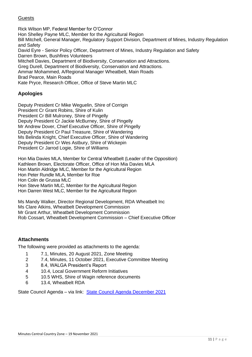### Guests

Rick Wilson MP, Federal Member for O'Connor Hon Shelley Payne MLC, Member for the Agricultural Region Bill Mitchell, General Manager, Regulatory Support Division, Department of Mines, Industry Regulation and Safety David Eyre - Senior Policy Officer, Department of Mines, Industry Regulation and Safety Darren Brown, Bushfires Volunteers Mitchell Davies, Department of Biodiversity, Conservation and Attractions. Greg Durell, Department of Biodiversity, Conservation and Attractions. Ammar Mohammed, A/Regional Manager Wheatbelt, Main Roads Brad Pearce, Main Roads Kate Pryce, Research Officer, Office of Steve Martin MLC

### **Apologies**

Deputy President Cr Mike Weguelin, Shire of Corrigin President Cr Grant Robins, Shire of Kulin President Cr Bill Mulroney, Shire of Pingelly Deputy President Cr Jackie McBurney, Shire of Pingelly Mr Andrew Dover, Chief Executive Officer, Shire of Pingelly Deputy President Cr Paul Treasure, Shire of Wandering Ms Belinda Knight, Chief Executive Officer, Shire of Wandering Deputy President Cr Wes Astbury, Shire of Wickepin President Cr Jarrod Logie, Shire of Williams

Hon Mia Davies MLA, Member for Central Wheatbelt (Leader of the Opposition) Kathleen Brown, Electorate Officer, Office of Hon Mia Davies MLA Hon Martin Aldridge MLC, Member for the Agricultural Region Hon Peter Rundle MLA, Member for Roe Hon Colin de Grussa MLC Hon Steve Martin MLC, Member for the Agricultural Region Hon Darren West MLC, Member for the Agricultural Region

Ms Mandy Walker, Director Regional Development, RDA Wheatbelt Inc Ms Clare Atkins, Wheatbelt Development Commission Mr Grant Arthur, Wheatbelt Development Commission Rob Cossart, Wheatbelt Development Commission – Chief Executive Officer

### **Attachments**

The following were provided as attachments to the agenda:

- 1 7.1, Minutes, 20 August 2021, Zone Meeting
- 2 7.4, Minutes, 11 October 2021, Executive Committee Meeting
- 3 8.4, WALGA President's Report
- 4 10.4, Local Government Reform Initiatives
- 5 10.5 WHS, Shire of Wagin reference documents
- 6 13.4, Wheatbelt RDA

State Council Agenda – via link: [State Council Agenda December 2021](https://walga.asn.au/getattachment/3343e830-5768-4c52-8caa-6806b33bb7bc/State-Council-Agenda-1-December-2021.pdf)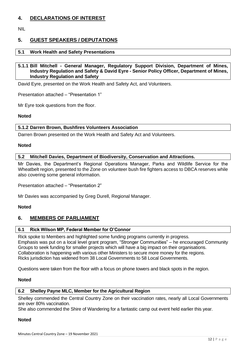### **4. DECLARATIONS OF INTEREST**

NIL

### **5. GUEST SPEAKERS / DEPUTATIONS**

### **5.1 Work Health and Safety Presentations**

### **5.1.1 Bill Mitchell - General Manager, Regulatory Support Division, Department of Mines, Industry Regulation and Safety & David Eyre - Senior Policy Officer, Department of Mines, Industry Regulation and Safety**

David Eyre, presented on the Work Health and Safety Act, and Volunteers.

Presentation attached – "Presentation 1"

Mr Eyre took questions from the floor.

### **Noted**

### **5.1.2 Darren Brown, Bushfires Volunteers Association**

Darren Brown presented on the Work Health and Safety Act and Volunteers.

### **Noted**

### **5.2 Mitchell Davies, Department of Biodiversity, Conservation and Attractions.**

Mr Davies, the Department's Regional Operations Manager, Parks and Wildlife Service for the Wheatbelt region, presented to the Zone on volunteer bush fire fighters access to DBCA reserves while also covering some general information.

Presentation attached – "Presentation 2"

Mr Davies was accompanied by Greg Durell, Regional Manager.

### **Noted**

### **6. MEMBERS OF PARLIAMENT**

### **6.1 Rick Wilson MP, Federal Member for O'Connor**

Rick spoke to Members and highlighted some funding programs currently in progress. Emphasis was put on a local level grant program, "Stronger Communities" – he encouraged Community Groups to seek funding for smaller projects which will have a big impact on their organisations. Collaboration is happening with various other Ministers to secure more money for the regions. Ricks jurisdiction has widened from 38 Local Governments to 58 Local Governments.

Questions were taken from the floor with a focus on phone towers and black spots in the region.

### **Noted**

### **6.2 Shelley Payne MLC, Member for the Agricultural Region**

Shelley commended the Central Country Zone on their vaccination rates, nearly all Local Governments are over 80% vaccination.

She also commended the Shire of Wandering for a fantastic camp out event held earlier this year.

### **Noted**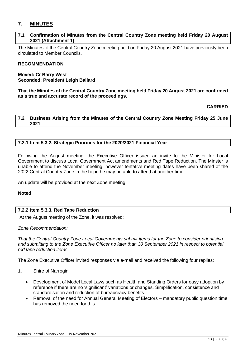### **7. MINUTES**

### **7.1 Confirmation of Minutes from the Central Country Zone meeting held Friday 20 August 2021 (Attachment 1)**

The Minutes of the Central Country Zone meeting held on Friday 20 August 2021 have previously been circulated to Member Councils.

### **RECOMMENDATION**

### **Moved: Cr Barry West Seconded: President Leigh Ballard**

**That the Minutes of the Central Country Zone meeting held Friday 20 August 2021 are confirmed as a true and accurate record of the proceedings.** 

### **CARRIED**

**7.2 Business Arising from the Minutes of the Central Country Zone Meeting Friday 25 June 2021**

### **7.2.1 Item 5.3.2, Strategic Priorities for the 2020/2021 Financial Year**

Following the August meeting, the Executive Officer issued an invite to the Minister for Local Government to discuss Local Government Act amendments and Red Tape Reduction. The Minster is unable to attend the November meeting, however tentative meeting dates have been shared of the 2022 Central Country Zone in the hope he may be able to attend at another time.

An update will be provided at the next Zone meeting.

### **Noted**

### **7.2.2 Item 5.3.3, Red Tape Reduction**

At the August meeting of the Zone, it was resolved:

### *Zone Recommendation:*

*That the Central Country Zone Local Governments submit items for the Zone to consider prioritising and submitting to the Zone Executive Officer no later than 30 September 2021 in respect to potential red tape reduction items.*

The Zone Executive Officer invited responses via e-mail and received the following four replies:

- 1. Shire of Narrogin:
	- Development of Model Local Laws such as Health and Standing Orders for easy adoption by reference if there are no 'significant' variations or changes. Simplification, consistence and standardisation and reduction of bureaucracy benefits.
	- Removal of the need for Annual General Meeting of Electors mandatory public question time has removed the need for this.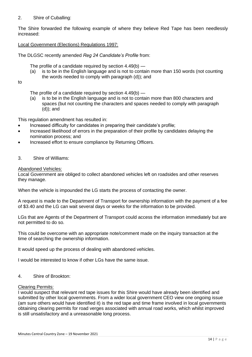### 2. Shire of Cuballing:

The Shire forwarded the following example of where they believe Red Tape has been needlessly increased:

### Local Government (Elections) Regulations 1997:

The DLGSC recently amended *Reg 24 Candidate's Profile* from:

The profile of a candidate required by section 4.49(b) —

- (a) is to be in the English language and is not to contain more than 150 words (not counting the words needed to comply with paragraph (d)); and
- to

The profile of a candidate required by section 4.49(b) —

(a) is to be in the English language and is not to contain more than 800 characters and spaces (but not counting the characters and spaces needed to comply with paragraph (d)); and

This regulation amendment has resulted in:

- Increased difficulty for candidates in preparing their candidate's profile;
- Increased likelihood of errors in the preparation of their profile by candidates delaying the nomination process; and
- Increased effort to ensure compliance by Returning Officers.
- 3. Shire of Williams:

### Abandoned Vehicles:

Local Government are obliged to collect abandoned vehicles left on roadsides and other reserves they manage.

When the vehicle is impounded the LG starts the process of contacting the owner.

A request is made to the Department of Transport for ownership information with the payment of a fee of \$3.40 and the LG can wait several days or weeks for the information to be provided.

LGs that are Agents of the Department of Transport could access the information immediately but are not permitted to do so.

This could be overcome with an appropriate note/comment made on the inquiry transaction at the time of searching the ownership information.

It would speed up the process of dealing with abandoned vehicles.

I would be interested to know if other LGs have the same issue.

4. Shire of Brookton:

### Clearing Permits:

I would suspect that relevant red tape issues for this Shire would have already been identified and submitted by other local governments. From a wider local government CEO view one ongoing issue (am sure others would have identified it) is the red tape and time frame involved in local governments obtaining clearing permits for road verges associated with annual road works, which whilst improved is still unsatisfactory and a unreasonable long process.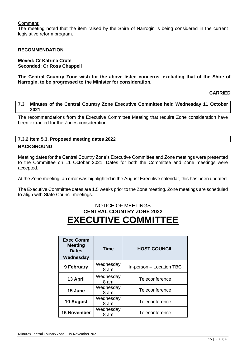### Comment:

The meeting noted that the item raised by the Shire of Narrogin is being considered in the current legislative reform program.

### **RECOMMENDATION**

### **Moved: Cr Katrina Crute Seconded: Cr Ross Chappell**

**The Central Country Zone wish for the above listed concerns, excluding that of the Shire of Narrogin, to be progressed to the Minister for consideration.** 

### **CARRIED**

### **7.3 Minutes of the Central Country Zone Executive Committee held Wednesday 11 October 2021**

The recommendations from the Executive Committee Meeting that require Zone consideration have been extracted for the Zones consideration.

### **7.3.2 Item 5.3, Proposed meeting dates 2022**

### **BACKGROUND**

Meeting dates for the Central Country Zone's Executive Committee and Zone meetings were presented to the Committee on 11 October 2021. Dates for both the Committee and Zone meetings were accepted.

At the Zone meeting, an error was highlighted in the August Executive calendar, this has been updated.

The Executive Committee dates are 1.5 weeks prior to the Zone meeting. Zone meetings are scheduled to align with State Council meetings.

### NOTICE OF MEETINGS **CENTRAL COUNTRY ZONE 2022 EXECUTIVE COMMITTEE**

| <b>Exec Comm</b><br><b>Meeting</b><br><b>Dates</b><br>Wednesday | <b>Time</b>       | <b>HOST COUNCIL</b>      |
|-----------------------------------------------------------------|-------------------|--------------------------|
| 9 February                                                      | Wednesday<br>8 am | In-person - Location TBC |
| 13 April                                                        | Wednesday<br>8 am | Teleconference           |
| 15 June                                                         | Wednesday<br>8 am | Teleconference           |
| 10 August                                                       | Wednesday<br>8 am | Teleconference           |
| <b>16 November</b>                                              | Wednesday<br>8 am | Teleconference           |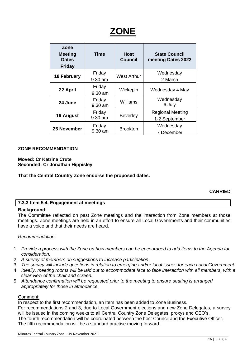| Zone<br><b>Meeting</b><br><b>Dates</b><br><b>Friday</b> | <b>Time</b>         | <b>Host</b><br><b>Council</b> | <b>State Council</b><br>meeting Dates 2022 |
|---------------------------------------------------------|---------------------|-------------------------------|--------------------------------------------|
| <b>18 February</b>                                      | Friday<br>9.30 am   | <b>West Arthur</b>            | Wednesday<br>2 March                       |
| 22 April                                                | Friday<br>$9.30$ am | Wickepin                      | Wednesday 4 May                            |
| 24 June                                                 | Friday<br>9.30 am   | Williams                      | Wednesday<br>6 July                        |
| 19 August                                               | Friday<br>9.30 am   | <b>Beverley</b>               | <b>Regional Meeting</b><br>1-2 September   |
| 25 November                                             | Friday<br>9.30 am   | <b>Brookton</b>               | Wednesday<br>7 December                    |

### **ZONE RECOMMENDATION**

### **Moved: Cr Katrina Crute Seconded: Cr Jonathan Hippisley**

**That the Central Country Zone endorse the proposed dates.**

### **CARRIED**

### **7.3.3 Item 5.4, Engagement at meetings**

### **Background:**

The Committee reflected on past Zone meetings and the interaction from Zone members at those meetings. Zone meetings are held in an effort to ensure all Local Governments and their communities have a voice and that their needs are heard.

### *Recommendation:*

- 1. *Provide a process with the Zone on how members can be encouraged to add items to the Agenda for consideration.*
- 2. *A survey of members on suggestions to increase participation.*
- 3. *The survey will include questions in relation to emerging and/or local issues for each Local Government.*
- 4. *Ideally, meeting rooms will be laid out to accommodate face to face interaction with all members, with a clear view of the chair and screen.*
- 5. *Attendance confirmation will be requested prior to the meeting to ensure seating is arranged appropriately for those in attendance.*

### Comment:

In respect to the first recommendation, an Item has been added to Zone Business. For recommendations 2 and 3, due to Local Government elections and new Zone Delegates, a survey will be issued in the coming weeks to all Central Country Zone Delegates, proxys and CEO's. The fourth recommendation will be coordinated between the host Council and the Executive Officer. The fifth recommendation will be a standard practise moving forward.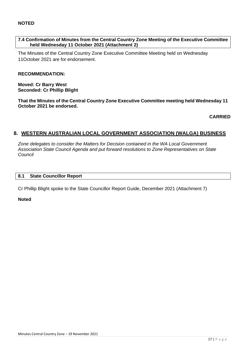### **7.4 Confirmation of Minutes from the Central Country Zone Meeting of the Executive Committee held Wednesday 11 October 2021 (Attachment 2)**

The Minutes of the Central Country Zone Executive Committee Meeting held on Wednesday 11October 2021 are for endorsement.

### **RECOMMENDATION:**

**Moved: Cr Barry West Seconded: Cr Phillip Blight**

**That the Minutes of the Central Country Zone Executive Committee meeting held Wednesday 11 October 2021 be endorsed.**

**CARRIED**

### **8. WESTERN AUSTRALIAN LOCAL GOVERNMENT ASSOCIATION (WALGA) BUSINESS**

*Zone delegates to consider the Matters for Decision contained in the WA Local Government Association State Council Agenda and put forward resolutions to Zone Representatives on State Council*

### **8.1 State Councillor Report**

Cr Phillip Blight spoke to the State Councillor Report Guide, December 2021 (Attachment 7)

**Noted**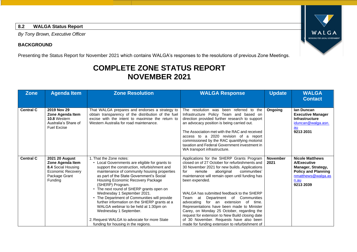### **8.2 WALGA Status Report**

*By Tony Brown, Executive Officer*

### **BACKGROUND**

Presenting the Status Report for November 2021 which contains WALGA's responses to the resolutions of previous Zone Meetings.

### **COMPLETE ZONE STATUS REPORT NOVEMBER 2021**

| <b>Zone</b>      | <b>Agenda Item</b>                                                                                        | <b>Zone Resolution</b>                                                                                                                                                                                                                                                                                                                                                                                                                                                                                                                                                                                         | <b>WALGA Response</b>                                                                                                                                                                                                                                                                                                                                                                                                                                                                                                                                                                                                                       | <b>Update</b>           | <b>WALGA</b><br><b>Contact</b>                                                                                                       |
|------------------|-----------------------------------------------------------------------------------------------------------|----------------------------------------------------------------------------------------------------------------------------------------------------------------------------------------------------------------------------------------------------------------------------------------------------------------------------------------------------------------------------------------------------------------------------------------------------------------------------------------------------------------------------------------------------------------------------------------------------------------|---------------------------------------------------------------------------------------------------------------------------------------------------------------------------------------------------------------------------------------------------------------------------------------------------------------------------------------------------------------------------------------------------------------------------------------------------------------------------------------------------------------------------------------------------------------------------------------------------------------------------------------------|-------------------------|--------------------------------------------------------------------------------------------------------------------------------------|
| <b>Central C</b> | 2019 Nov 29<br>Zone Agenda Item<br>10.8 Western<br>Australia's Share of<br><b>Fuel Excise</b>             | That WALGA prepares and endorses a strategy to<br>obtain transparency of the distribution of the fuel<br>excise with the intent to maximise the return to<br>Western Australia for road maintenance.                                                                                                                                                                                                                                                                                                                                                                                                           | The resolution was been referred to<br>the<br>Infrastructure Policy Team and based on<br>direction provided further research to support<br>an advocacy position is being carried out.<br>The Association met with the RAC and received<br>access to a 2020 revision of a report<br>commissioned by the RAC quantifying motorist<br>taxation and Federal Government investment in<br>WA transport infrastructure.                                                                                                                                                                                                                            | Ongoing                 | lan Duncan<br><b>Executive Manager</b><br>Infrastructure<br>iduncan@walga.asn.<br>au<br>9213 2031                                    |
| <b>Central C</b> | 2021 20 August<br>Zone Agenda Item<br>8.4 Social Housing<br>Economic Recovery<br>Package Grant<br>Funding | 1. That the Zone notes:<br>Local Governments are eligible for grants to<br>support the construction, refurbishment and<br>maintenance of community housing properties<br>as part of the State Government's Social<br>Housing Economic Recovery Package<br>(SHERP) Program.<br>• The next round of SHERP grants open on<br>Wednesday 1 September 2021.<br>• The Department of Communities will provide<br>further information on the SHERP grants at a<br>WALGA webinar to be held at 1:30pm on<br>Wednesday 1 September.<br>2. Request WALGA to advocate for more State<br>funding for housing in the regions. | Applications for the SHERP Grants Program<br>closed on of 27 October for refurbishments and<br>30 November 2021 for new builds. Applications<br>for<br>aboriginal<br>communities'<br>remote<br>maintenance will remain open until funding has<br>been expended.<br>WALGA has submitted feedback to the SHERP<br>Department of Communities<br>Team at<br>advocating for an extension of<br>time.<br>Representations have been made to Minister<br>Carey, on Monday 25 October, regarding the<br>request for extension to New Build closing date<br>of 30 November. Requests have also been<br>made for funding extension to refurbishment of | <b>November</b><br>2021 | <b>Nicole Matthews</b><br>A/Executive<br>Manager, Strategy,<br><b>Policy and Planning</b><br>nmatthews@walga.as<br>n.au<br>9213 2039 |

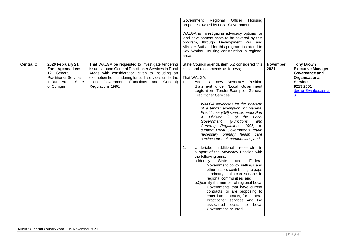|                  |                                                                                                                               |                                                                                                                                                                                                                                                                                     | Regional<br>Officer<br>Government<br>Housing<br>properties owned by Local Government.<br>WALGA is investigating advocacy options for<br>land development costs to be covered by this<br>program, through Development WA and<br>Minister Buti and for this program to extend to<br>Key Worker Housing construction in regional<br>areas.                                                                                                                                                                                                                                                                                                                                                                                                                                                                                                                                                                                                                                                                                                                                                                                                       |                         |                                                                                                                                                            |
|------------------|-------------------------------------------------------------------------------------------------------------------------------|-------------------------------------------------------------------------------------------------------------------------------------------------------------------------------------------------------------------------------------------------------------------------------------|-----------------------------------------------------------------------------------------------------------------------------------------------------------------------------------------------------------------------------------------------------------------------------------------------------------------------------------------------------------------------------------------------------------------------------------------------------------------------------------------------------------------------------------------------------------------------------------------------------------------------------------------------------------------------------------------------------------------------------------------------------------------------------------------------------------------------------------------------------------------------------------------------------------------------------------------------------------------------------------------------------------------------------------------------------------------------------------------------------------------------------------------------|-------------------------|------------------------------------------------------------------------------------------------------------------------------------------------------------|
| <b>Central C</b> | 2020 February 21<br>Zone Agenda Item<br>12.1 General<br><b>Practitioner Services</b><br>in Rural Areas - Shire<br>of Corrigin | That WALGA be requested to investigate tendering<br>issues around General Practitioner Services in Rural<br>Areas with consideration given to including an<br>exemption from tendering for such services under the<br>Local Government (Functions and General)<br>Regulations 1996. | State Council agenda item 5.2 considered this<br>issue and recommends as follows;<br>That WALGA:<br>Adopt a new Advocacy Position<br>$\mathbf{1}$ .<br>Statement under 'Local Government<br>Legislation - Tender Exemption General<br><b>Practitioner Services':</b><br>WALGA advocates for the inclusion<br>of a tender exemption for General<br>Practitioner (GP) services under Part<br>4. Division 2 of the Local<br>(Functions<br>Government<br>and<br>General) Regulations 1996, to<br>support Local Governments retain<br>necessary primary health care<br>services for their communities; and<br>2.<br>Undertake additional research in<br>support of the Advocacy Position with<br>the following aims:<br>State<br>a.Identify<br>and<br>Federal<br>Government policy settings and<br>other factors contributing to gaps<br>in primary health care services in<br>regional communities; and<br>b. Quantify the number of regional Local<br>Governments that have current<br>contracts, or are proposing to<br>enter into contracts, for General<br>Practitioner services and the<br>associated costs to Local<br>Government incurred. | <b>November</b><br>2021 | <b>Tony Brown</b><br><b>Executive Manager</b><br>Governance and<br>Organisational<br><b>Services</b><br>9213 2051<br>tbrown@walga.asn.a<br>$\underline{u}$ |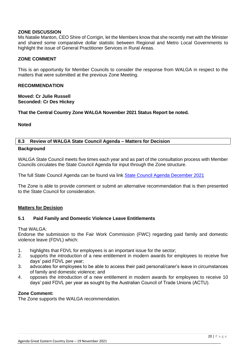### **ZONE DISCUSSION**

Ms Natalie Manton, CEO Shire of Corrigin, let the Members know that she recently met with the Minister and shared some comparative dollar statistic between Regional and Metro Local Governments to highlight the issue of General Practitioner Services in Rural Areas.

### **ZONE COMMENT**

This is an opportunity for Member Councils to consider the response from WALGA in respect to the matters that were submitted at the previous Zone Meeting.

### **RECOMMENDATION**

**Moved: Cr Julie Russell Seconded: Cr Des Hickey**

**That the Central Country Zone WALGA November 2021 Status Report be noted.**

### **Noted**

### **8.3 Review of WALGA State Council Agenda – Matters for Decision Background**

WALGA State Council meets five times each year and as part of the consultation process with Member Councils circulates the State Council Agenda for input through the Zone structure.

The full State Council Agenda can be found via link [State Council Agenda December 2021](https://walga.asn.au/getattachment/3343e830-5768-4c52-8caa-6806b33bb7bc/State-Council-Agenda-1-December-2021.pdf)

The Zone is able to provide comment or submit an alternative recommendation that is then presented to the State Council for consideration.

### **Matters for Decision**

### **5.1 Paid Family and Domestic Violence Leave Entitlements**

### That WAI GA.

Endorse the submission to the Fair Work Commission (FWC) regarding paid family and domestic violence leave (FDVL) which:

- 1. highlights that FDVL for employees is an important issue for the sector;
- 2. supports the introduction of a new entitlement in modern awards for employees to receive five days' paid FDVL per year;
- 3. advocates for employees to be able to access their paid personal/carer's leave in circumstances of family and domestic violence; and
- 4. opposes the introduction of a new entitlement in modern awards for employees to receive 10 days' paid FDVL per year as sought by the Australian Council of Trade Unions (ACTU).

### **Zone Comment:**

The Zone supports the WALGA recommendation.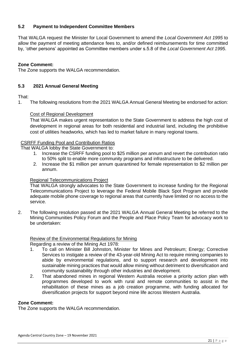### **5.2 Payment to Independent Committee Members**

That WALGA request the Minister for Local Government to amend the *Local Government Act 1995* to allow the payment of meeting attendance fees to, and/or defined reimbursements for time committed by, 'other persons' appointed as Committee members under s.5.8 of the *Local Government Act 1995*.

### **Zone Comment:**

The Zone supports the WALGA recommendation.

### **5.3 2021 Annual General Meeting**

### That:

1. The following resolutions from the 2021 WALGA Annual General Meeting be endorsed for action:

### Cost of Regional Development

That WALGA makes urgent representation to the State Government to address the high cost of development in regional areas for both residential and industrial land, including the prohibitive cost of utilities headworks, which has led to market failure in many regional towns.

### CSRFF Funding Pool and Contribution Ratios

That WALGA lobby the State Government to:

- 1. Increase the CSRFF funding pool to \$25 million per annum and revert the contribution ratio to 50% split to enable more community programs and infrastructure to be delivered.
- 2. Increase the \$1 million per annum quarantined for female representation to \$2 million per annum.

### Regional Telecommunications Project

That WALGA strongly advocates to the State Government to increase funding for the Regional Telecommunications Project to leverage the Federal Mobile Black Spot Program and provide adequate mobile phone coverage to regional areas that currently have limited or no access to the service.

2. The following resolution passed at the 2021 WALGA Annual General Meeting be referred to the Mining Communities Policy Forum and the People and Place Policy Team for advocacy work to be undertaken:

### Review of the Environmental Regulations for Mining

Regarding a review of the Mining Act 1978:

- 1. To call on Minister Bill Johnston, Minister for Mines and Petroleum; Energy; Corrective Services to instigate a review of the 43-year-old Mining Act to require mining companies to abide by environmental regulations, and to support research and development into sustainable mining practices that would allow mining without detriment to diversification and community sustainability through other industries and development.
- 2. That abandoned mines in regional Western Australia receive a priority action plan with programmes developed to work with rural and remote communities to assist in the rehabilitation of these mines as a job creation programme, with funding allocated for diversification projects for support beyond mine life across Western Australia.

### **Zone Comment:**

The Zone supports the WALGA recommendation.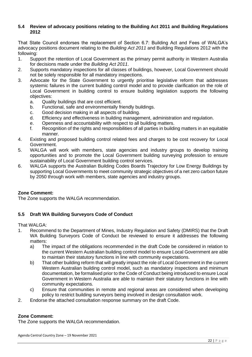### **5.4 Review of advocacy positions relating to the Building Act 2011 and Building Regulations 2012**

That State Council endorses the replacement of Section 6.7: Building Act and Fees of WALGA's advocacy positions document relating to the *Building Act 2011* and Building Regulations 2012 with the following:

- 1. Support the retention of Local Government as the primary permit authority in Western Australia for decisions made under the *Building Act 2011*.
- 2. Supports mandatory inspections for all classes of buildings, however, Local Government should not be solely responsible for all mandatory inspections.
- 3. Advocate for the State Government to urgently prioritise legislative reform that addresses systemic failures in the current building control model and to provide clarification on the role of Local Government in building control to ensure building legislation supports the following objectives:
	- a. Quality buildings that are cost efficient.
	- b. Functional, safe and environmentally friendly buildings.
	- c. Good decision making in all aspects of building.
	- d. Efficiency and effectiveness in building management, administration and regulation.
	- e. Openness and accountability with respect to all building matters.
	- f. Recognition of the rights and responsibilities of all parties in building matters in an equitable manner.
- 4. Existing and proposed building control related fees and charges to be cost recovery for Local Government.
- 5. WALGA will work with members, state agencies and industry groups to develop training opportunities and to promote the Local Government building surveying profession to ensure sustainability of Local Government building control services.
- 6. WALGA supports the Australian Building Codes Boards Trajectory for Low Energy Buildings by supporting Local Governments to meet community strategic objectives of a net zero carbon future by 2050 through work with members, state agencies and industry groups.

### **Zone Comment:**

The Zone supports the WALGA recommendation.

### **5.5 Draft WA Building Surveyors Code of Conduct**

That WALGA:

- 1. Recommend to the Department of Mines, Industry Regulation and Safety (DMIRS) that the Draft WA Building Surveyors Code of Conduct be reviewed to ensure it addresses the following matters:
	- a) The impact of the obligations recommended in the draft Code be considered in relation to the current Western Australian building control model to ensure Local Government are able to maintain their statutory functions in line with community expectations.
	- b) That other building reform that will greatly impact the role of Local Government in the current Western Australian building control model, such as mandatory inspections and minimum documentation, be formalised prior to the Code of Conduct being introduced to ensure Local Government in Western Australia are able to maintain their statutory functions in line with community expectations.
	- c) Ensure that communities in remote and regional areas are considered when developing policy to restrict building surveyors being involved in design consultation work.
- 2. Endorse the attached consultation response summary on the draft Code.

### **Zone Comment:**

The Zone supports the WALGA recommendation.

Agenda Central Country Zone – 19 November 2021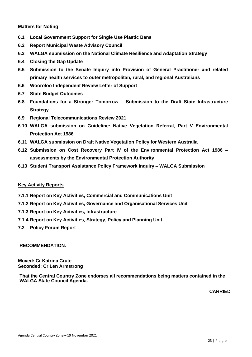### **Matters for Noting**

- **6.1 Local Government Support for Single Use Plastic Bans**
- **6.2 Report Municipal Waste Advisory Council**
- **6.3 WALGA submission on the National Climate Resilience and Adaptation Strategy**
- **6.4 Closing the Gap Update**
- **6.5 Submission to the Senate Inquiry into Provision of General Practitioner and related primary health services to outer metropolitan, rural, and regional Australians**
- **6.6 Wooroloo Independent Review Letter of Support**
- **6.7 State Budget Outcomes**
- **6.8 Foundations for a Stronger Tomorrow – Submission to the Draft State Infrastructure Strategy**
- **6.9 Regional Telecommunications Review 2021**
- **6.10 WALGA submission on Guideline: Native Vegetation Referral, Part V Environmental Protection Act 1986**
- **6.11 WALGA submission on Draft Native Vegetation Policy for Western Australia**
- **6.12 Submission on Cost Recovery Part IV of the Environmental Protection Act 1986 – assessments by the Environmental Protection Authority**
- **6.13 Student Transport Assistance Policy Framework Inquiry – WALGA Submission**

### **Key Activity Reports**

- **7.1.1 Report on Key Activities, Commercial and Communications Unit**
- **7.1.2 Report on Key Activities, Governance and Organisational Services Unit**
- **7.1.3 Report on Key Activities, Infrastructure**
- **7.1.4 Report on Key Activities, Strategy, Policy and Planning Unit**
- **7.2 Policy Forum Report**

### **RECOMMENDATION:**

**Moved: Cr Katrina Crute Seconded: Cr Len Armstrong**

**That the Central Country Zone endorses all recommendations being matters contained in the WALGA State Council Agenda.**

**CARRIED**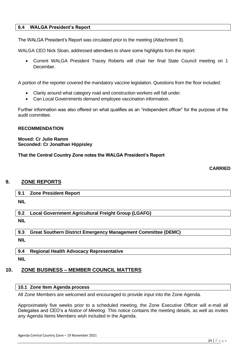### **8.4 WALGA President's Report**

The WALGA President's Report was circulated prior to the meeting (Attachment 3).

WALGA CEO Nick Sloan, addressed attendees to share some highlights from the report:

• Current WALGA President Tracey Roberts will chair her final State Council meeting on 1 December.

A portion of the reporter covered the mandatory vaccine legislation. Questions from the floor included:

- Clarity around what category road and construction workers will fall under.
- Can Local Governments demand employee vaccination information.

Further information was also offered on what qualifies as an "independent officer" for the purpose of the audit committee.

### **RECOMMENDATION**

### **Moved: Cr Julie Ramm Seconded: Cr Jonathan Hippisley**

**That the Central Country Zone notes the WALGA President's Report**

### **CARRIED**

### **9. ZONE REPORTS**

|  | 9. | <b>Zone President Report</b> |
|--|----|------------------------------|
|--|----|------------------------------|

**NIL**

**9.2 Local Government Agricultural Freight Group (LGAFG)**

**NIL**

**9.3 Great Southern District Emergency Management Committee (DEMC)**

**NIL**

**9.4 Regional Health Advocacy Representative**

**NIL**

### **10. ZONE BUSINESS – MEMBER COUNCIL MATTERS**

### **10.1 Zone Item Agenda process**

All Zone Members are welcomed and encouraged to provide input into the Zone Agenda.

Approximately five weeks prior to a scheduled meeting, the Zone Executive Officer will e-mail all Delegates and CEO's a *Notice of Meeting.* This notice contains the meeting details, as well as invites any Agenda Items Members wish included in the Agenda.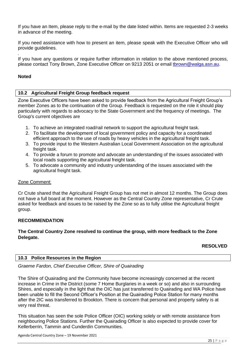If you have an Item, please reply to the e-mail by the date listed within. Items are requested 2-3 weeks in advance of the meeting.

If you need assistance with how to present an item, please speak with the Executive Officer who will provide guidelines.

*.* If you have any questions or require further information in relation to the above mentioned process, please contact Tony Brown, Zone Executive Officer on 9213 2051 or email [tbrown@walga.asn.au.](mailto:tbrown@walga.asn.au)

### **Noted**

### **10.2 Agricultural Freight Group feedback request**

Zone Executive Officers have been asked to provide feedback from the Agricultural Freight Group's member Zones as to the continuation of the Group. Feedback is requested on the role it should play particularly with regards to advocacy to the State Government and the frequency of meetings. The Group's current objectives are

- 1. To achieve an integrated road/rail network to support the agricultural freight task.
- 2. To facilitate the development of local government policy and capacity for a coordinated efficient approach to the use of roads by heavy vehicles in the agricultural freight task.
- 3. To provide input to the Western Australian Local Government Association on the agricultural freight task.
- 4. To provide a forum to promote and advocate an understanding of the issues associated with local roads supporting the agricultural freight task.
- 5. To advocate a community and industry understanding of the issues associated with the agricultural freight task.

### Zone Comment:

Cr Crute shared that the Agricultural Freight Group has not met in almost 12 months. The Group does not have a full board at the moment. However as the Central Country Zone representative, Cr Crute asked for feedback and issues to be raised by the Zone so as to fully utilise the Agricultural freight group.

### **RECOMMENDATION**

### **The Central Country Zone resolved to continue the group, with more feedback to the Zone Delegate.**

### **RESOLVED**

### **10.3 Police Resources in the Region**

### *Graeme Fardon, Chief Executive Officer, Shire of Quairading*

The Shire of Quairading and the Community have become increasingly concerned at the recent increase in Crime in the District (some 7 Home Burglaries in a week or so) and also in surrounding Shires, and especially in the light that the OIC has just transferred to Quairading and WA Police have been unable to fill the Second Officer's Position at the Quairading Police Station for many months after the 2IC was transferred to Brookton. There is concern that personal and property safety is at very real threat.

This situation has seen the sole Police Officer (OIC) working solely or with remote assistance from neighbouring Police Stations. Further the Quairading Officer is also expected to provide cover for Kellerberrin, Tammin and Cunderdin Communities.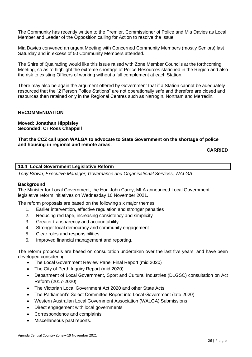The Community has recently written to the Premier, Commissioner of Police and Mia Davies as Local Member and Leader of the Opposition calling for Action to resolve the Issue.

Mia Davies convened an urgent Meeting with Concerned Community Members (mostly Seniors) last Saturday and in excess of 50 Community Members attended.

The Shire of Quairading would like this issue raised with Zone Member Councils at the forthcoming Meeting, so as to highlight the extreme shortage of Police Resources stationed in the Region and also the risk to existing Officers of working without a full complement at each Station.

There may also be again the argument offered by Government that if a Station cannot be adequately resourced that the "2 Person Police Stations" are not operationally safe and therefore are closed and resources then retained only in the Regional Centres such as Narrogin, Northam and Merredin.

### **RECOMMENDATION**

**Moved: Jonathan Hippisley Seconded: Cr Ross Chappell**

### **That the CCZ call upon WALGA to advocate to State Government on the shortage of police and housing in regional and remote areas.**

**CARRIED**

### **10.4 Local Government Legislative Reform**

*Tony Brown, Executive Manager, Governance and Organisational Services, WALGA*

### **Background**

The Minister for Local Government, the Hon John Carey, MLA announced Local Government legislative reform initiatives on Wednesday 10 November 2021.

The reform proposals are based on the following six major themes:

- 1. Earlier intervention, effective regulation and stronger penalties
- 2. Reducing red tape, increasing consistency and simplicity
- 3. Greater transparency and accountability
- 4. Stronger local democracy and community engagement
- 5. Clear roles and responsibilities
- 6. Improved financial management and reporting.

The reform proposals are based on consultation undertaken over the last five years, and have been developed considering:

- The Local Government Review Panel Final Report (mid 2020)
- The City of Perth Inquiry Report (mid 2020)
- Department of Local Government, Sport and Cultural Industries (DLGSC) consultation on Act Reform (2017-2020)
- The Victorian Local Government Act 2020 and other State Acts
- The Parliament's Select Committee Report into Local Government (late 2020)
- Western Australian Local Government Association (WALGA) Submissions
- Direct engagement with local governments
- Correspondence and complaints
- Miscellaneous past reports.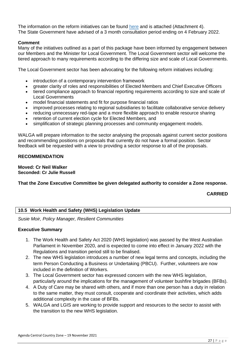The information on the reform initiatives can be found [here](https://www.dlgsc.wa.gov.au/local-government/strengthening-local-government/public-consultations/local-government-act-reform-consultation) and is attached (Attachment 4). The State Government have advised of a 3 month consultation period ending on 4 February 2022.

### **Comment**

Many of the initiatives outlined as a part of this package have been informed by engagement between our Members and the Minister for Local Government. The Local Government sector will welcome the tiered approach to many requirements according to the differing size and scale of Local Governments.

The Local Government sector has been advocating for the following reform initiatives including:

- introduction of a contemporary intervention framework
- greater clarity of roles and responsibilities of Elected Members and Chief Executive Officers
- tiered compliance approach to financial reporting requirements according to size and scale of Local Governments
- model financial statements and fit for purpose financial ratios
- improved processes relating to regional subsidiaries to facilitate collaborative service delivery
- reducing unnecessary red-tape and a more flexible approach to enable resource sharing
- retention of current election cycle for Elected Members, and
- simplification of strategic planning processes and community engagement models.

WALGA will prepare information to the sector analysing the proposals against current sector positions and recommending positions on proposals that currently do not have a formal position. Sector feedback will be requested with a view to providing a sector response to all of the proposals.

### **RECOMMENDATION**

**Moved: Cr Neil Walker Seconded: Cr Julie Russell**

**That the Zone Executive Committee be given delegated authority to consider a Zone response.**

**CARRIED**

### **10.5 Work Health and Safety (WHS) Legislation Update**

*Susie Moir, Policy Manager, Resilient Communities*

### **Executive Summary**

- 1. The Work Health and Safety Act 2020 (WHS legislation) was passed by the West Australian Parliament in November 2020, and is expected to come into effect in January 2022 with the Regulations and transition period still to be finalised.
- 2. The new WHS legislation introduces a number of new legal terms and concepts, including the term Person Conducting a Business or Undertaking (PBCU). Further, volunteers are now included in the definition of Workers.
- 3. The Local Government sector has expressed concern with the new WHS legislation, particularly around the implications for the management of volunteer bushfire brigades (BFBs).
- 4. A Duty of Care may be shared with others, and if more than one person has a duty in relation to the same matter, they must consult, cooperate and coordinate their activities, which adds additional complexity in the case of BFBs.
- 5. WALGA and LGIS are working to provide support and resources to the sector to assist with the transition to the new WHS legislation.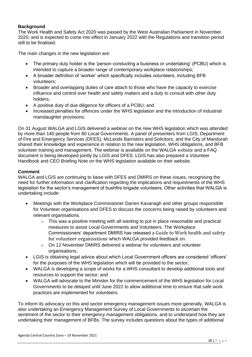### **Background**

The Work Health and Safety Act 2020 was passed by the West Australian Parliament in November 2020, and is expected to come into effect in January 2022 with the Regulations and transition period still to be finalised.

The main changes in the new legislation are:

- The primary duty holder is the 'person conducting a business or undertaking' (PCBU) which is intended to capture a broader range of contemporary workplace relationships;
- A broader definition of 'worker' which specifically includes volunteers, including BFB volunteers;
- Broader and overlapping duties of care attach to those who have the capacity to exercise influence and control over health and safety matters and a duty to consult with other duty holders;
- A positive duty of due diligence for officers of a PCBU; and
- Increased penalties for offences under the WHS legislation and the introduction of industrial manslaughter provisions;

On 31 August WALGA and LGIS delivered a webinar on the new WHS legislation which was attended by more than 140 people from 80 Local Governments. A panel of presenters from LGIS, Department of Fire and Emergency Services (DFES), McLeods Barristers and Solicitors, and the City of Mandurah shared their knowledge and experience in relation to the new legislation, WHS obligations, and BFB volunteer training and management. The webinar is available on the WALGA [website](https://walga.asn.au/Policy-Advice-and-Advocacy/Emergency-Management/Information-for-Local-Governments) and a FAQ document is being developed jointly by LGIS and DFES. LGIS has also prepared a Volunteer Handbook and CEO Briefing Note on the WHS legislation available on their website.

### **Comment**

WALGA and LGIS are continuing to liaise with DFES and DMIRS on these issues, recognising the need for further information and clarification regarding the implications and requirements of the WHS legislation for the sector's management of bushfire brigade volunteers. Other activities that WALGA is undertaking include:

- Meetings with the Workplace Commissioner Darren Kavanagh and other groups responsible for Volunteer organisations and DFES to discuss the concerns being raised by volunteers and relevant organisations.
	- $\circ$  This was a positive meeting with all wanting to put in place reasonable and practical measures to assist Local Governments and Volunteers. The Workplace Commissioners' department DMIRS has released [a Guide to Work health and safety](https://www.dmirs.wa.gov.au/sites/default/files/atoms/files/211103_gl_whsvolunteer.pdf)  [for volunteer organisations](https://www.dmirs.wa.gov.au/sites/default/files/atoms/files/211103_gl_whsvolunteer.pdf) which WALGA provided feedback on.
	- o On 12 November DMIRS delivered a webinar for volunteers and volunteer organisations;
- LGIS is obtaining legal advice about which Local Government officers are considered 'officers' for the purposes of the WHS legislation which will be provided to the sector;
- WALGA is developing a scope of works for a WHS consultant to develop additional tools and resources to support the sector; and
- WALGA will advocate to the Minister for the commencement of the WHS legislation for Local Governments to be delayed until June 2022 to allow additional time to ensure that safe work practices are implemented for volunteers.

To inform its advocacy on this and sector emergency management issues more generally, WALGA is also undertaking an Emergency Management Survey of Local Governments to ascertain the sentiment of the sector to their emergency management obligations, and to understand how they are undertaking their management of BFBs. The survey includes questions about the types of additional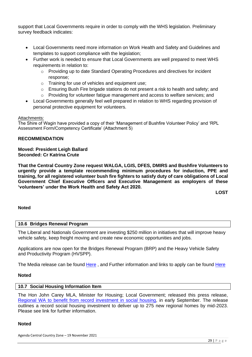support that Local Governments require in order to comply with the WHS legislation. Preliminary survey feedback indicates:

- Local Governments need more information on Work Health and Safety and Guidelines and templates to support compliance with the legislation;
- Further work is needed to ensure that Local Governments are well prepared to meet WHS requirements in relation to:
	- o Providing up to date Standard Operating Procedures and directives for incident response;
	- o Training for use of vehicles and equipment use;
	- o Ensuring Bush Fire brigade stations do not present a risk to health and safety; and
	- $\circ$  Providing for volunteer fatigue management and access to welfare services; and
- Local Governments generally feel well prepared in relation to WHS regarding provision of personal protective equipment for volunteers.

### Attachments:

The Shire of Wagin have provided a copy of their 'Management of Bushfire Volunteer Policy' and 'RPL Assessment Form/Competency Certificate' (Attachment 5)

### **RECOMMENDATION**

### **Moved: President Leigh Ballard Seconded: Cr Katrina Crute**

**That the Central Country Zone request WALGA, LGIS, DFES, DMIRS and Bushfire Volunteers to urgently provide a template recommending minimum procedures for induction, PPE and training, for all registered volunteer bush fire fighters to satisfy duty of care obligations of Local Government Chief Executive Officers and Executive Management as employers of these 'volunteers' under the Work Health and Safety Act 2020.** 

**LOST**

### **Noted**

### **10.6 Bridges Renewal Program**

The Liberal and Nationals Government are investing \$250 million in initiatives that will improve heavy vehicle safety, keep freight moving and create new economic opportunities and jobs.

Applications are now open for the Bridges Renewal Program (BRP) and the Heavy Vehicle Safety and Productivity Program (HVSPP).

The Media release can be found [Here](https://investment.infrastructure.gov.au/about/local-initiatives/bridges-renewal-program.aspx), and Further information and links to apply can be found Here

### **Noted**

### **10.7 Social Housing Information Item**

The Hon John Carey MLA, Minister for Housing; Local Government; released this press release, [Regional WA to benefit from record investment in social housing,](https://www.mediastatements.wa.gov.au/Pages/McGowan/2021/09/Regional-WA-to-benefit-from-record-investment-in-social-housing.aspx) in early September. The release outlines a record social housing investment to deliver up to 275 new regional homes by mid-2023. Please see link for further information.

### **Noted**

Agenda Central Country Zone – 19 November 2021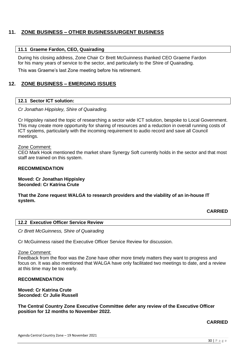### **11. ZONE BUSINESS – OTHER BUSINESS/URGENT BUSINESS**

### **11.1 Graeme Fardon, CEO, Quairading**

During his closing address, Zone Chair Cr Brett McGuinness thanked CEO Graeme Fardon for his many years of service to the sector, and particularly to the Shire of Quairading.

This was Graeme's last Zone meeting before his retirement.

### **12. ZONE BUSINESS – EMERGING ISSUES**

### **12.1 Sector ICT solution:**

### *Cr Jonathan Hippisley, Shire of Quairading.*

Cr Hippisley raised the topic of researching a sector wide ICT solution, bespoke to Local Government. This may create more opportunity for sharing of resources and a reduction in overall running costs of ICT systems, particularly with the incoming requirement to audio record and save all Council meetings.

#### Zone Comment:

CEO Mark Hook mentioned the market share Synergy Soft currently holds in the sector and that most staff are trained on this system.

#### **RECOMMENDATION**

**Moved: Cr Jonathan Hippisley Seconded: Cr Katrina Crute**

### **That the Zone request WALGA to research providers and the viability of an in-house IT system.**

### **CARRIED**

|  | <b>12.2 Executive Officer Service Review</b> |  |
|--|----------------------------------------------|--|
|--|----------------------------------------------|--|

*Cr Brett McGuinness, Shire of Quairading*

Cr McGuinness raised the Executive Officer Service Review for discussion.

### Zone Comment:

Feedback from the floor was the Zone have other more timely matters they want to progress and focus on. It was also mentioned that WALGA have only facilitated two meetings to date, and a review at this time may be too early.

### **RECOMMENDATION**

**Moved: Cr Katrina Crute Seconded: Cr Julie Russell**

**The Central Country Zone Executive Committee defer any review of the Executive Officer position for 12 months to November 2022.**

### **CARRIED**